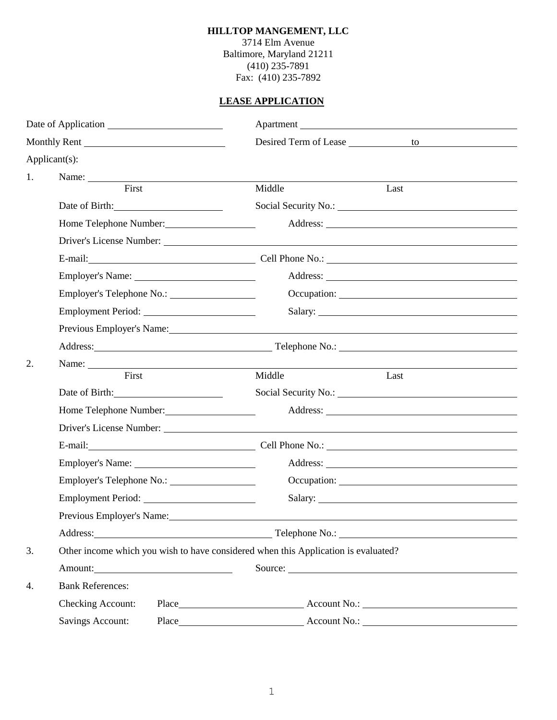## **HILLTOP MANGEMENT, LLC**

3714 Elm Avenue Baltimore, Maryland 21211 (410) 235-7891 Fax: (410) 235-7892

## **LEASE APPLICATION**

| Date of Application |                                                                                                                                                                                                                                |                                                                                                                                                                                                                                |  |
|---------------------|--------------------------------------------------------------------------------------------------------------------------------------------------------------------------------------------------------------------------------|--------------------------------------------------------------------------------------------------------------------------------------------------------------------------------------------------------------------------------|--|
| Monthly Rent        |                                                                                                                                                                                                                                |                                                                                                                                                                                                                                |  |
| Applicant(s):       |                                                                                                                                                                                                                                |                                                                                                                                                                                                                                |  |
| 1.                  |                                                                                                                                                                                                                                |                                                                                                                                                                                                                                |  |
|                     | First                                                                                                                                                                                                                          | Middle<br>Last                                                                                                                                                                                                                 |  |
|                     | Date of Birth:                                                                                                                                                                                                                 |                                                                                                                                                                                                                                |  |
|                     | Home Telephone Number:<br><u>Letter</u>                                                                                                                                                                                        |                                                                                                                                                                                                                                |  |
|                     |                                                                                                                                                                                                                                |                                                                                                                                                                                                                                |  |
|                     |                                                                                                                                                                                                                                | E-mail: Cell Phone No.: Cell Phone No.:                                                                                                                                                                                        |  |
|                     |                                                                                                                                                                                                                                |                                                                                                                                                                                                                                |  |
|                     | Employer's Telephone No.:                                                                                                                                                                                                      |                                                                                                                                                                                                                                |  |
|                     | Employment Period:                                                                                                                                                                                                             |                                                                                                                                                                                                                                |  |
|                     |                                                                                                                                                                                                                                | Previous Employer's Name: Name:                                                                                                                                                                                                |  |
|                     |                                                                                                                                                                                                                                |                                                                                                                                                                                                                                |  |
| 2.                  | Name:                                                                                                                                                                                                                          |                                                                                                                                                                                                                                |  |
|                     | First                                                                                                                                                                                                                          | Middle<br>Last                                                                                                                                                                                                                 |  |
|                     | Date of Birth: 2000                                                                                                                                                                                                            |                                                                                                                                                                                                                                |  |
|                     | Home Telephone Number:                                                                                                                                                                                                         |                                                                                                                                                                                                                                |  |
|                     |                                                                                                                                                                                                                                |                                                                                                                                                                                                                                |  |
|                     |                                                                                                                                                                                                                                | E-mail: Cell Phone No.: Cell Phone No.: Cell Phone No.: Cell Phone No.: Cell Phone No.: Cell Phone No.: Cell Phone No.: Cell Phone No.: Cell Phone No.: Cell Phone No.: Cell Phone No.: Cell Phone No.: Cell Phone No.: Cell P |  |
|                     |                                                                                                                                                                                                                                |                                                                                                                                                                                                                                |  |
|                     | Employer's Telephone No.:                                                                                                                                                                                                      |                                                                                                                                                                                                                                |  |
|                     |                                                                                                                                                                                                                                | Salary:                                                                                                                                                                                                                        |  |
|                     | Previous Employer's Name:                                                                                                                                                                                                      |                                                                                                                                                                                                                                |  |
|                     |                                                                                                                                                                                                                                |                                                                                                                                                                                                                                |  |
| 3.                  | Other income which you wish to have considered when this Application is evaluated?                                                                                                                                             |                                                                                                                                                                                                                                |  |
|                     | Amount: 1000 million and the same state of the same state of the same state of the same state of the same state of the same state of the same state of the same state of the same state of the same state of the same state of | Source:                                                                                                                                                                                                                        |  |
| 4.                  | <b>Bank References:</b>                                                                                                                                                                                                        |                                                                                                                                                                                                                                |  |
|                     | Checking Account:                                                                                                                                                                                                              |                                                                                                                                                                                                                                |  |
|                     | <b>Savings Account:</b>                                                                                                                                                                                                        |                                                                                                                                                                                                                                |  |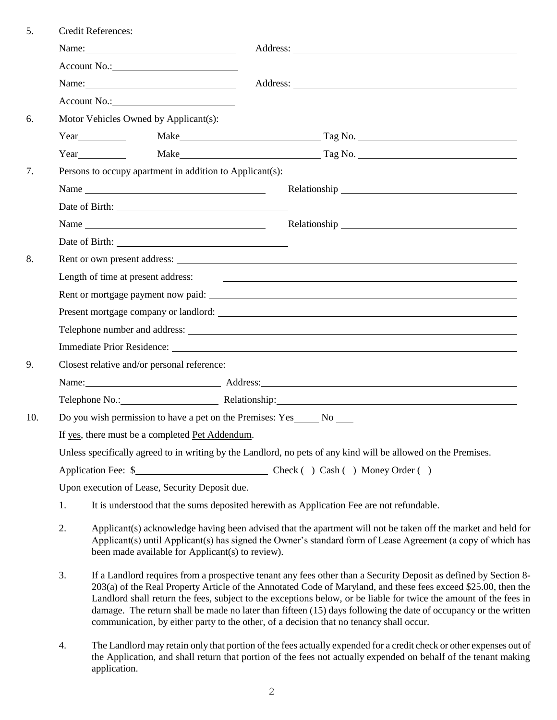| 5.  |    | <b>Credit References:</b>                                                                                                                                                                                                                                                                                                                                                                                                                                                                                                                                             |                                                                                                                                                                                                                                |
|-----|----|-----------------------------------------------------------------------------------------------------------------------------------------------------------------------------------------------------------------------------------------------------------------------------------------------------------------------------------------------------------------------------------------------------------------------------------------------------------------------------------------------------------------------------------------------------------------------|--------------------------------------------------------------------------------------------------------------------------------------------------------------------------------------------------------------------------------|
|     |    | Name: $\frac{1}{2}$ Name:                                                                                                                                                                                                                                                                                                                                                                                                                                                                                                                                             |                                                                                                                                                                                                                                |
|     |    |                                                                                                                                                                                                                                                                                                                                                                                                                                                                                                                                                                       |                                                                                                                                                                                                                                |
|     |    | Name:                                                                                                                                                                                                                                                                                                                                                                                                                                                                                                                                                                 |                                                                                                                                                                                                                                |
|     |    |                                                                                                                                                                                                                                                                                                                                                                                                                                                                                                                                                                       |                                                                                                                                                                                                                                |
| 6.  |    | Motor Vehicles Owned by Applicant(s):                                                                                                                                                                                                                                                                                                                                                                                                                                                                                                                                 |                                                                                                                                                                                                                                |
|     |    |                                                                                                                                                                                                                                                                                                                                                                                                                                                                                                                                                                       | Year Make Make  Tag No. Tag No. Tag No. Tag No. Tag No. Tag No. Tag No. Tag No. Tag No. Tag No. Tag No. Tag No. Tag No. Tag No. Tag No. Tag No. Tag No. Tag No. Tag No. Tag No. Tag No. Tag No. Tag No. Tag No. Tag No. Tag No |
|     |    | Year                                                                                                                                                                                                                                                                                                                                                                                                                                                                                                                                                                  | Make Tag No. Tag No.                                                                                                                                                                                                           |
| 7.  |    | Persons to occupy apartment in addition to Applicant(s):                                                                                                                                                                                                                                                                                                                                                                                                                                                                                                              |                                                                                                                                                                                                                                |
|     |    | Name                                                                                                                                                                                                                                                                                                                                                                                                                                                                                                                                                                  |                                                                                                                                                                                                                                |
|     |    |                                                                                                                                                                                                                                                                                                                                                                                                                                                                                                                                                                       |                                                                                                                                                                                                                                |
|     |    |                                                                                                                                                                                                                                                                                                                                                                                                                                                                                                                                                                       |                                                                                                                                                                                                                                |
|     |    |                                                                                                                                                                                                                                                                                                                                                                                                                                                                                                                                                                       |                                                                                                                                                                                                                                |
| 8.  |    |                                                                                                                                                                                                                                                                                                                                                                                                                                                                                                                                                                       |                                                                                                                                                                                                                                |
|     |    | Length of time at present address:                                                                                                                                                                                                                                                                                                                                                                                                                                                                                                                                    |                                                                                                                                                                                                                                |
|     |    |                                                                                                                                                                                                                                                                                                                                                                                                                                                                                                                                                                       | Rent or mortgage payment now paid: example and a set of the set of the set of mortgage payment now paid:                                                                                                                       |
|     |    |                                                                                                                                                                                                                                                                                                                                                                                                                                                                                                                                                                       |                                                                                                                                                                                                                                |
|     |    |                                                                                                                                                                                                                                                                                                                                                                                                                                                                                                                                                                       |                                                                                                                                                                                                                                |
|     |    |                                                                                                                                                                                                                                                                                                                                                                                                                                                                                                                                                                       |                                                                                                                                                                                                                                |
| 9.  |    | Closest relative and/or personal reference:                                                                                                                                                                                                                                                                                                                                                                                                                                                                                                                           |                                                                                                                                                                                                                                |
|     |    |                                                                                                                                                                                                                                                                                                                                                                                                                                                                                                                                                                       | Name: Address: Address:                                                                                                                                                                                                        |
|     |    |                                                                                                                                                                                                                                                                                                                                                                                                                                                                                                                                                                       | Telephone No.: Relationship: Relationship:                                                                                                                                                                                     |
| 10. |    | Do you wish permission to have a pet on the Premises: Yes No No                                                                                                                                                                                                                                                                                                                                                                                                                                                                                                       |                                                                                                                                                                                                                                |
|     |    | If yes, there must be a completed Pet Addendum.                                                                                                                                                                                                                                                                                                                                                                                                                                                                                                                       |                                                                                                                                                                                                                                |
|     |    |                                                                                                                                                                                                                                                                                                                                                                                                                                                                                                                                                                       | Unless specifically agreed to in writing by the Landlord, no pets of any kind will be allowed on the Premises.                                                                                                                 |
|     |    |                                                                                                                                                                                                                                                                                                                                                                                                                                                                                                                                                                       |                                                                                                                                                                                                                                |
|     |    | Upon execution of Lease, Security Deposit due.                                                                                                                                                                                                                                                                                                                                                                                                                                                                                                                        |                                                                                                                                                                                                                                |
|     | 1. |                                                                                                                                                                                                                                                                                                                                                                                                                                                                                                                                                                       | It is understood that the sums deposited herewith as Application Fee are not refundable.                                                                                                                                       |
|     | 2. | Applicant(s) acknowledge having been advised that the apartment will not be taken off the market and held for<br>Applicant(s) until Applicant(s) has signed the Owner's standard form of Lease Agreement (a copy of which has<br>been made available for Applicant(s) to review).                                                                                                                                                                                                                                                                                     |                                                                                                                                                                                                                                |
|     | 3. | If a Landlord requires from a prospective tenant any fees other than a Security Deposit as defined by Section 8-<br>203(a) of the Real Property Article of the Annotated Code of Maryland, and these fees exceed \$25.00, then the<br>Landlord shall return the fees, subject to the exceptions below, or be liable for twice the amount of the fees in<br>damage. The return shall be made no later than fifteen (15) days following the date of occupancy or the written<br>communication, by either party to the other, of a decision that no tenancy shall occur. |                                                                                                                                                                                                                                |

4. The Landlord may retain only that portion of the fees actually expended for a credit check or other expenses out of the Application, and shall return that portion of the fees not actually expended on behalf of the tenant making application.